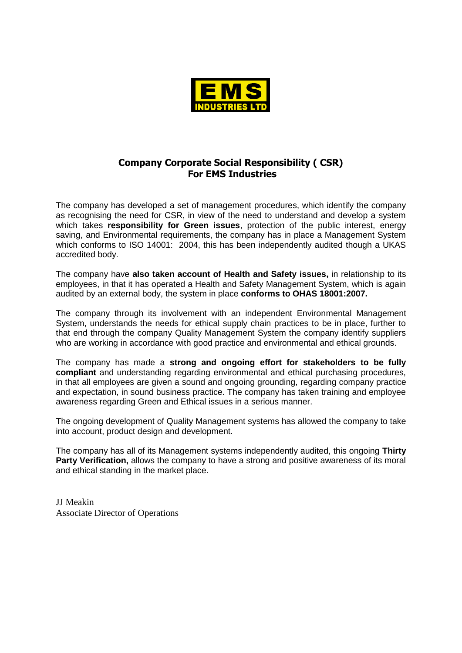

## **Company Corporate Social Responsibility ( CSR) For EMS Industries**

The company has developed a set of management procedures, which identify the company as recognising the need for CSR, in view of the need to understand and develop a system which takes **responsibility for Green issues**, protection of the public interest, energy saving, and Environmental requirements, the company has in place a Management System which conforms to ISO 14001: 2004, this has been independently audited though a UKAS accredited body.

The company have **also taken account of Health and Safety issues,** in relationship to its employees, in that it has operated a Health and Safety Management System, which is again audited by an external body, the system in place **conforms to OHAS 18001:2007.**

The company through its involvement with an independent Environmental Management System, understands the needs for ethical supply chain practices to be in place, further to that end through the company Quality Management System the company identify suppliers who are working in accordance with good practice and environmental and ethical grounds.

The company has made a **strong and ongoing effort for stakeholders to be fully compliant** and understanding regarding environmental and ethical purchasing procedures, in that all employees are given a sound and ongoing grounding, regarding company practice and expectation, in sound business practice. The company has taken training and employee awareness regarding Green and Ethical issues in a serious manner.

The ongoing development of Quality Management systems has allowed the company to take into account, product design and development.

The company has all of its Management systems independently audited, this ongoing **Thirty Party Verification,** allows the company to have a strong and positive awareness of its moral and ethical standing in the market place.

JJ Meakin Associate Director of Operations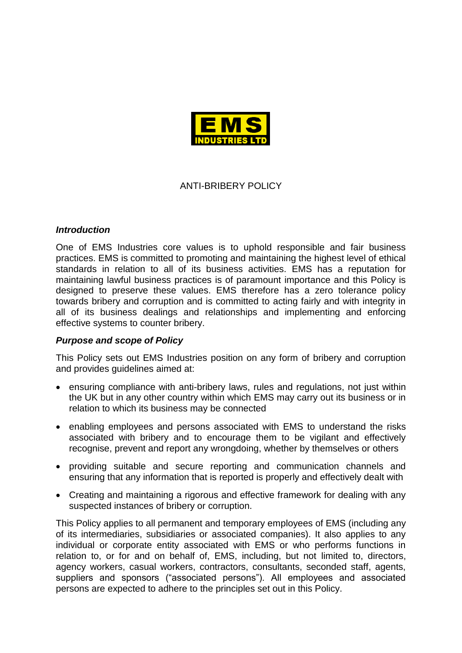

# ANTI-BRIBERY POLICY

#### *Introduction*

One of EMS Industries core values is to uphold responsible and fair business practices. EMS is committed to promoting and maintaining the highest level of ethical standards in relation to all of its business activities. EMS has a reputation for maintaining lawful business practices is of paramount importance and this Policy is designed to preserve these values. EMS therefore has a zero tolerance policy towards bribery and corruption and is committed to acting fairly and with integrity in all of its business dealings and relationships and implementing and enforcing effective systems to counter bribery.

### *Purpose and scope of Policy*

This Policy sets out EMS Industries position on any form of bribery and corruption and provides guidelines aimed at:

- ensuring compliance with anti-bribery laws, rules and regulations, not just within the UK but in any other country within which EMS may carry out its business or in relation to which its business may be connected
- enabling employees and persons associated with EMS to understand the risks associated with bribery and to encourage them to be vigilant and effectively recognise, prevent and report any wrongdoing, whether by themselves or others
- providing suitable and secure reporting and communication channels and ensuring that any information that is reported is properly and effectively dealt with
- Creating and maintaining a rigorous and effective framework for dealing with any suspected instances of bribery or corruption.

This Policy applies to all permanent and temporary employees of EMS (including any of its intermediaries, subsidiaries or associated companies). It also applies to any individual or corporate entity associated with EMS or who performs functions in relation to, or for and on behalf of, EMS, including, but not limited to, directors, agency workers, casual workers, contractors, consultants, seconded staff, agents, suppliers and sponsors ("associated persons"). All employees and associated persons are expected to adhere to the principles set out in this Policy.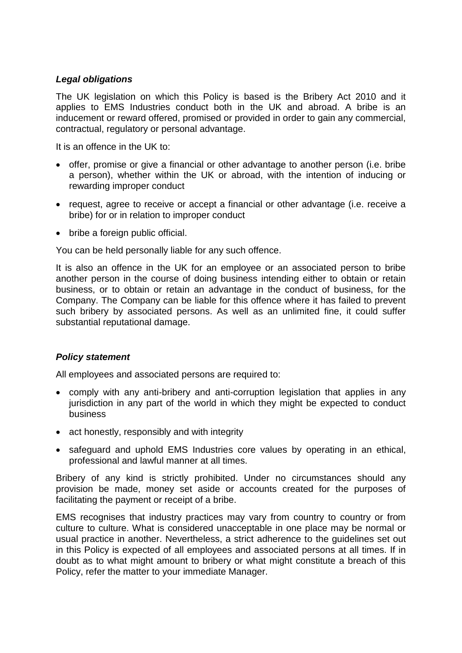## *Legal obligations*

The UK legislation on which this Policy is based is the Bribery Act 2010 and it applies to EMS Industries conduct both in the UK and abroad. A bribe is an inducement or reward offered, promised or provided in order to gain any commercial, contractual, regulatory or personal advantage.

It is an offence in the UK to:

- offer, promise or give a financial or other advantage to another person (i.e. bribe a person), whether within the UK or abroad, with the intention of inducing or rewarding improper conduct
- request, agree to receive or accept a financial or other advantage (i.e. receive a bribe) for or in relation to improper conduct
- bribe a foreign public official.

You can be held personally liable for any such offence.

It is also an offence in the UK for an employee or an associated person to bribe another person in the course of doing business intending either to obtain or retain business, or to obtain or retain an advantage in the conduct of business, for the Company. The Company can be liable for this offence where it has failed to prevent such bribery by associated persons. As well as an unlimited fine, it could suffer substantial reputational damage.

### *Policy statement*

All employees and associated persons are required to:

- comply with any anti-bribery and anti-corruption legislation that applies in any jurisdiction in any part of the world in which they might be expected to conduct business
- act honestly, responsibly and with integrity
- safeguard and uphold EMS Industries core values by operating in an ethical, professional and lawful manner at all times.

Bribery of any kind is strictly prohibited. Under no circumstances should any provision be made, money set aside or accounts created for the purposes of facilitating the payment or receipt of a bribe.

EMS recognises that industry practices may vary from country to country or from culture to culture. What is considered unacceptable in one place may be normal or usual practice in another. Nevertheless, a strict adherence to the guidelines set out in this Policy is expected of all employees and associated persons at all times. If in doubt as to what might amount to bribery or what might constitute a breach of this Policy, refer the matter to your immediate Manager.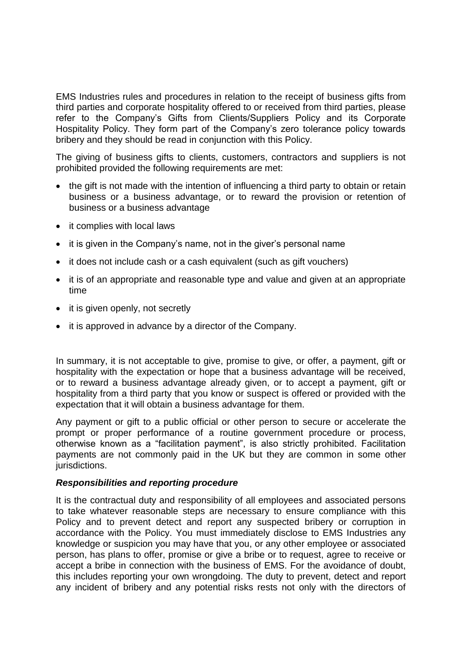EMS Industries rules and procedures in relation to the receipt of business gifts from third parties and corporate hospitality offered to or received from third parties, please refer to the Company's Gifts from Clients/Suppliers Policy and its Corporate Hospitality Policy. They form part of the Company's zero tolerance policy towards bribery and they should be read in conjunction with this Policy.

The giving of business gifts to clients, customers, contractors and suppliers is not prohibited provided the following requirements are met:

- the gift is not made with the intention of influencing a third party to obtain or retain business or a business advantage, or to reward the provision or retention of business or a business advantage
- it complies with local laws
- it is given in the Company's name, not in the giver's personal name
- it does not include cash or a cash equivalent (such as gift vouchers)
- it is of an appropriate and reasonable type and value and given at an appropriate time
- it is given openly, not secretly
- it is approved in advance by a director of the Company.

In summary, it is not acceptable to give, promise to give, or offer, a payment, gift or hospitality with the expectation or hope that a business advantage will be received, or to reward a business advantage already given, or to accept a payment, gift or hospitality from a third party that you know or suspect is offered or provided with the expectation that it will obtain a business advantage for them.

Any payment or gift to a public official or other person to secure or accelerate the prompt or proper performance of a routine government procedure or process, otherwise known as a "facilitation payment", is also strictly prohibited. Facilitation payments are not commonly paid in the UK but they are common in some other jurisdictions.

### *Responsibilities and reporting procedure*

It is the contractual duty and responsibility of all employees and associated persons to take whatever reasonable steps are necessary to ensure compliance with this Policy and to prevent detect and report any suspected bribery or corruption in accordance with the Policy. You must immediately disclose to EMS Industries any knowledge or suspicion you may have that you, or any other employee or associated person, has plans to offer, promise or give a bribe or to request, agree to receive or accept a bribe in connection with the business of EMS. For the avoidance of doubt, this includes reporting your own wrongdoing. The duty to prevent, detect and report any incident of bribery and any potential risks rests not only with the directors of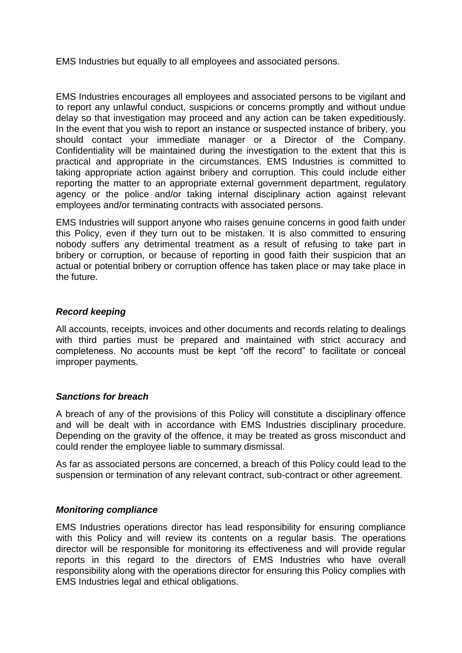EMS Industries but equally to all employees and associated persons.

EMS Industries encourages all employees and associated persons to be vigilant and to report any unlawful conduct, suspicions or concerns promptly and without undue delay so that investigation may proceed and any action can be taken expeditiously. In the event that you wish to report an instance or suspected instance of bribery, you should contact your immediate manager or a Director of the Company. Confidentiality will be maintained during the investigation to the extent that this is practical and appropriate in the circumstances. EMS Industries is committed to taking appropriate action against bribery and corruption. This could include either reporting the matter to an appropriate external government department, regulatory agency or the police and/or taking internal disciplinary action against relevant employees and/or terminating contracts with associated persons.

EMS Industries will support anyone who raises genuine concerns in good faith under this Policy, even if they turn out to be mistaken. It is also committed to ensuring nobody suffers any detrimental treatment as a result of refusing to take part in bribery or corruption, or because of reporting in good faith their suspicion that an actual or potential bribery or corruption offence has taken place or may take place in the future.

## *Record keeping*

All accounts, receipts, invoices and other documents and records relating to dealings with third parties must be prepared and maintained with strict accuracy and completeness. No accounts must be kept "off the record" to facilitate or conceal improper payments.

### *Sanctions for breach*

A breach of any of the provisions of this Policy will constitute a disciplinary offence and will be dealt with in accordance with EMS Industries disciplinary procedure. Depending on the gravity of the offence, it may be treated as gross misconduct and could render the employee liable to summary dismissal.

As far as associated persons are concerned, a breach of this Policy could lead to the suspension or termination of any relevant contract, sub-contract or other agreement.

### *Monitoring compliance*

EMS Industries operations director has lead responsibility for ensuring compliance with this Policy and will review its contents on a regular basis. The operations director will be responsible for monitoring its effectiveness and will provide regular reports in this regard to the directors of EMS Industries who have overall responsibility along with the operations director for ensuring this Policy complies with EMS Industries legal and ethical obligations.